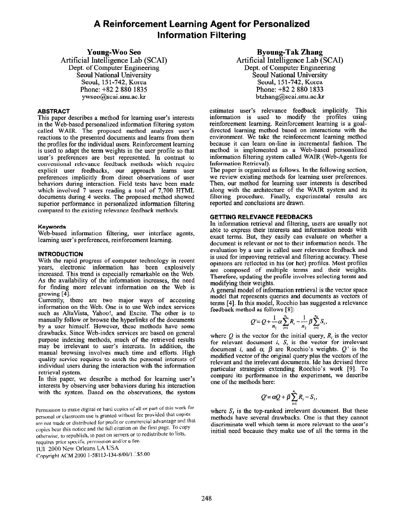# A Reinforcement Learning Agent for Personalized Information Filtering

# Young-Woo Se0

Artificial Intelligence Lab (SCAI) Dept. of Computer Engineering Seoul National University Seoul, 151-742, Korea Phone: +82 2 880 1835 ywseo@scai.snu.ac.kr

# ABSTRACT

This paper describes a method for learning user's interests in the Web-based personalized information filtering system called WAIR. The proposed method analyzes user's reactions to the presented documents and learns from them the profiles for the individual users. Reinforcement learning is used to adapt the term weights in the user profile so that user's preferences are best represented. In contrast to conventional relevance feedback methods which require explicit user feedbacks, OUT approach learns user preferences implicitly from direct observations of user behaviors during interaction. Field tests have been made which involved 7 users reading a total of 7,700 HTML documents during 4 weeks. The proposed method showed superior performance in personalized information filtering compared to the existing relevance feedback methods.

## Keywords

Web-based information filtering, user interface agents, learning user's preferences, reinforcement learning.

# INTRODUCTION

With the rapid progress of computer technology in recent years, electronic information has been explosively increased. This trend is especially remarkable on the Web. As the availability of the information increases, the need for finding more relevant information on the Web is growing [4].

Currently, there are two major ways of accessing information on the Web. One is to use Web index services such as AltaVista, Yahoo!, and Excite. The other is to manually foIlow or browse the hyperlinks of the documents by a user himself. However, these methods have some drawbacks. Since Web-index services are based on general purpose indexing methods, much of the retrieved results may be irrelevant to user's interests. In addition, the manual browsing involves much time and efforts. High quality service requires to catch the personal interests of individual users during the interaction with the information retrieval system.

In this paper, we describe a method for learning user's interests by observing user behaviors during his interaction with the system. Based on the observations, the system

Permission to make digital or hard copies of all or part of this work for personal or classroom use is granted without fee provided that copies are not made or distributed for profit or commercial advantage and that copies bear this notice and the full citation on the first page. To copy otherwise, to republish, to post on servers or to redistribute to lists, requires prior specific permission and/or a fee.

1UI 2000 New Orleans LA USA

Copyright ACM 2000 1-58113-134-8/00/1...\$5.00

Byoung-Tak Zhang Artificial Intelligence Lab (SCAI) Dept. of Computer Engineering Seoul National University Seoul, 151-742, Korea Phone: +82 2 880 1833 btzhang@scai.snu.ac.kr

estimates user's relevance feedback implicitly. This information is used to modify the profiles using reinforcement learning. Reinforcement learning is a goaldirected learning method based on interactions with the environment. We take the reinforcement learning method because it can learn on-line in incremental fashion. The method is implemented as a Web-based personalized information filtering system called WAIR (Web-Agents for Information Retrieval).

The paper is organized as follows. In the following section, we review existing methods for learning user preferences. Then, our method for learning user interests is described along with the architecture of the WAIR system and its filtering procedure. Finally, experimental results are reported and conclusions are drawn.

# GETTING RELEVANCE FEEDBACKS

In information retrieval and filtering, users are usually not able to express their interests and information needs with exact terms. But, they easily can evaluate on whether a document is relevant or not to their information needs. The evaluation by a user is called user relevance feedback and is used for improving retrieval and filtering accuracy. These opinions are reflected in his (or her) profiles. Most profiles are composed of multiple terms and their weights. Therefore, updating the profile involves selecting terms and modifying their weights.

A general model of information retrieval is the vector space model that represents queries and documents as vectors of terms [4]. In this model, Rocchio has suggested a relevance feedback method as follows [8]:

$$
Q'=Q+\frac{1}{n_1}\alpha\sum_{i=1}^{n_1}R_i-\frac{1}{n_2}\beta\sum_{i=1}^{n_2}S_i,
$$

where  $Q$  is the vector for the initial query,  $R_i$  is the vector for relevant document i,  $S_i$  is the vector for irrelevant document i, and  $\alpha$ ,  $\beta$  are Rocchio's weights.  $Q'$  is the modified vector of the original query plus the vectors of the relevant and the irrelevant documents. Ide has devised three particular strategies extending Rocchio's work [9]. To compare its performance in the experiment, we describe one of the methods here:

$$
Q' = \alpha Q + \beta \sum_{i=1}^{n_1} R_i - S_1,
$$

where  $S_i$  is the top-ranked irrelevant document. But these methods have several drawbacks. One is that they cannot discriminate well which term is more relevant to the user's initial need because they make use of all the terms in the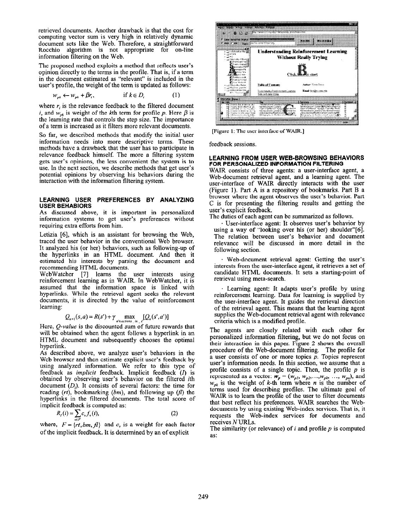retrieved documents. Another drawback is that the cost for computing vector sum is very high in relatively dynamic document sets like the Web. Therefore, a straightforward Rocchio algorithm is not appropriate for on-line information filtering on the Web.

The proposed method exploits a method that reflects user's opinion directly to the terms in the profile. That is, if a term in the document estimated as "relevant" is included in the user's profile, the weight of the term is updated as follows:

$$
w_{pk} \leftarrow w_{pk} + \beta r_i, \qquad \text{if } k \in D_i \tag{1}
$$

where  $r_i$  is the relevance feedback to the filtered document i, and  $w_{nk}$  is weight of the kth term for profile p. Here  $\beta$  is the learning rate that controls the step size. The importance of a term is increased as it filters more relevant documents.

So far, we described methods that modify the initial user information needs into more descriptive terms. These methods have a drawback that the user has to participate in relevance feedback himself. The more a filtering system gets user's opinions, the less convenient the system is to use. In the next section, we describe methods that get user's potential opinions by observing his behaviors during the interaction with the information filtering system.

#### LEARNING USER PREFERENCES BY ANALYZING USER BEHABIORS

As discussed above, it is important in personalized information systems to get user's preferences without requiring extra efforts from him.

Letizia [6], which is an assistant for browsing the Web, traced the user behavior in the conventional Web browser. It analyzed his (or her) behaviors, such as following-up of the hyperlinks in an HTML document. And then it estimated his interests by parsing the document and recommending HTML documents.

WebWatcher [7] learns the user interests using reinforcement learning as in WAIR. In WebWatcher, it is assumed that the information space is linked with hyperlinks. While the retrieval agent seeks the relevant documents, it is directed by the value of reinforcement learning:

$$
Q_{n+1}(s,a) = R(s') + \gamma \max_{a' \in \text{action}(\text{in} \mathbb{R}^n)} [Q_n(s',a')]
$$

Here,  $Q$ -value is the discounted sum of future rewards that will be obtained when the agent follows a hyperlink in an HTML document and subsequently chooses the optimal hyperlink.

As described above, we analyze user's behaviors in the Web browser and then estimate explicit user's feedback by using analyzed information. We refer to this type of feedback as implicit feedback. Implicit feedback (I) is obtained by observing user's behavior on the filtered ith document  $(D_i)$ . It consists of several factors: the time for reading  $(rt)$ , bookmarking  $(bm)$ , and following up  $(fl)$  the hyperlinks in the filtered documents. The total score of implicit feedback is computed as:

$$
R_I(i) = \sum_{v \in F} c_v f_v(i), \tag{2}
$$

where,  $F = \{rt, bm, fl\}$  and  $c<sub>v</sub>$  is a weight for each factor of the implicit feedback. It is determined by an of explicit



[Figure 1: The user interface of WAIR.]

feedback sessions.

#### LEARNING FROM USER WEB-BROWSING BEHAVIORS FOR PERSONALIZED INFORMATION FILTERING

WAIR consists of three agents: a user-interface agent, a Web-document retrieval agent, and a learning agent. The user-interface of WAIR directly interacts with the user (Figure 1). Part A is a repository of bookmarks. Part B a browser where the agent observes the user's behavior. Part C is for presenting the filtering results and getting the user's explicit feedback.

The duties of each agent can be summarized as follows.

. User-interface agent: It observes user's behavior by using a way of "looking over his (or her) shoulder"[6]. The relation between user's behavior and document relevance will be discussed in more detail in the following section.

. Web-document retrieval agent: Getting the user's interests from the user-interface agent, it retrieves a set of candidate HTML documents. It sets a starting-point of retrieval using meta-search.

. Learning agent: It adapts user's profile by using reinforcement learning. Data for learning is supplied by the user-interface agent. It guides the retrieval direction of the retrieval agent. This means that the learning agent supplies the Web-document retrieval agent with relevance criteria which is a modified profile.

The agents are closely related with each other for personalized information filtering, but we do not focus on their interaction in this paper. Figure 2 shows the overall procedure of the Web-document filtering. The profile for a user consists of one or more topics  $p$ . Topics represent user's information needs. In this section, we assume that a profile consists of a single topic. Then, the profile  $p$  is represented as a vector:  $w_p = (w_{p1}, w_{p2},...,w_{pk},..., w_{pn})$ , and  $w_{pk}$  is the weight of k-th term where n is the number of terms used for describing profiles. The ultimate goal of WAIR is to learn the profile of the user to filter documents that best reflect his preferences. WAIR searches the Webdocuments by using existing Web-index services. That is, it requests the Web-index services for documents and receives N URLs.

The similarity (or relevance) of  $i$  and profile  $p$  is computed as: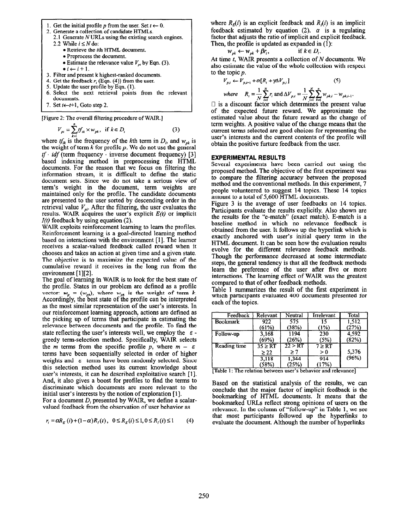1. Get the initial profile p from the user. Set  $t \leftarrow 0$ .

2. Generate a collection of candidate HTMLs.

- 2.1 Generate N URLs using the existing search engines. 2.2 While  $i \leq N$  do:
	- Retrieve the *i*th HTML document.
	- Preprocess the document.
	- Estimate the relevance value  $V_{pi}$  by Eqn. (3).
	- $\bullet i \leftarrow i+1$ .
- 3. Filter and present k highest-ranked documents.
- 4. Get the feedback  $r_i$  (Eqn. (4)) from the user.
- 5. Update the user profile by Eqn. (1).
- 6. Select the next retrieval points Tom the relevant documents.
- 7. Set  $t \leftarrow t+1$ , Goto step 2.

[Figure 2: The overall filtering procedure of WAIR.]

$$
V_{pi} = \sum_{k=1}^{n} f f_{ik} \times w_{pk}, \text{ if } k \in D_i
$$
 (3)

where  $tf_{ik}$  is the frequency of the kth term in  $D_i$ , and  $w_{nk}$  is the weight of term  $k$  for profile  $p$ . We do not use the general  $tf \cdot idf$  (term frequency  $\cdot$  inverse document frequency) [3] based indexing method in preprocessing the HTML documents. For the reason that we focus on filtering the information stream, it is difficult to define the static document sets. Since we do not take a serious view of term's weight in the document, term weights are maintained only for the profile. The candidate documents are presented to the user sorted by descending order in the retrieval value  $V_{\text{ni}}$ . After the filtering, the user evaluates the results. WAIR acquires the user's explicit  $E(t)$  or implicit  $I(t)$  feedback by using equation (2).

WAIR exploits reinforcement learning to learn the profiles. Reinforcement learning is a goal-directed learning method based on interactions with the environment [ 11. The learner receives a scalar-valued feedback called reward when it chooses and takes an action at given time and a given state. The objective is to maximize the expected value of the cumulative reward it receives in the long run from the environment [1][2].

The goal of learning in WAIR is to look for the best state of the profile. States in our problem are defined as a profile vector:  $w_p = (w_{pk})$ , where  $w_{pk}$  is the weight of term k. Accordingly, the best state of the profile can be interpreted as the most similar representation of the user's interests. In our reinforcement learning approach, actions are defined as the picking up of terms that participate in estimating the relevance between documents and the profile. To find the state reflecting the user's interests well, we employ the  $\varepsilon$ greedy term-selection method. Specifically, WAIR selects the *m* terms from the specific profile p, where  $m - \varepsilon$ terms have been sequentially selected in order of higher weights and  $\varepsilon$  terms have been randomly selected. Since this selection method uses its current knowledge about user's interests, it can be described exploitative search [l]. And, it also gives a boost for profiles to find the terms to discriminate which documents are more relevant to the initial user's interests by the notion of exploration [1].

For a document  $D_i$  presented by WAIR, we define a scalarvalued feedback from the observation of user behavior as

$$
r_i = \alpha R_E(i) + (1 - \alpha)R_i(t), \ \ 0 \le R_E(i) \le 1, 0 \le R_i(i) \le 1 \tag{4}
$$

where  $R<sub>E</sub>(i)$  is an explicit feedback and  $R<sub>i</sub>(i)$  is an implicit feedback estimated by equation (2).  $\alpha$  is a regulating factor that adjusts the ratio of implicit and explicit feedback. Then, the profile is updated as expanded in (1):

$$
w_{pk} \leftarrow w_{pk} + \beta r_i, \qquad \text{if } k \in D_i.
$$

At time  $t$ , WAIR presents a collection of  $N$  documents. We also estimate the value of the whole collection with respect to the topic  $p$ .

$$
V_{p,t} \leftarrow V_{p,t-1} + \alpha [R_t + \gamma \Delta V_{p,t}]
$$
 (5)

where 
$$
R_i = \frac{1}{N} \sum_{i=1}^{N} r_i
$$
 and  $\Delta V_{p,i} = \frac{1}{N} \sum_{i=1}^{N} \sum_{k=1}^{N} w_{pk,i} - w_{pk,i-1}$ .  $\Box$  is a discount factor which determines the present value

of the expected future reward. We approximate the estimated value about the future reward as the change of term weights. A positive value of the change means that the current terms selected are good choices for representing the user's interests and the current contents of the profile will obtain the positive furture feedback from the user.

# EXPERIMENTAL RESULTS

Several experiments have been carried out using the proposed method. The objective of the first experiment was to compare the filtering accuracy between the proposed method and the conventional methods. In this experiment, 7 people volunteered to suggest 14 topics. These 14 topics amount to a total of 5,600 HTML documents.

Figure 3 is the average of user feedbacks on 14 topics. Participants evaluate the results explicitly. Also shown are the results for the "e-match" (exact match). E-match is a baseline method in which no relevance feedback is obtained from the user. It follows up the hyperlink which is exactly anchored with user's initial query term in the HTML document. It can be seen how the evaluation results evolve for the different relevance feedback methods. Though the performance decreased at some intermediate steps, the general tendency is that all the feedback methods learn the preference of the user after five or more interactions. The learning effect of WAIR was the greatest compared to that of other feedback methods.

Table 1 summarizes the result of the first experiment in which participants evaluated 400 documents presented for each of the topics.

| Feedback        | Relevant                  | Neutral             | Irrelevant         | Total          |
|-----------------|---------------------------|---------------------|--------------------|----------------|
| <b>Bookmark</b> | 922<br>(61%)              | 575<br>(38%)        | 15<br>(1%)         | 1.512<br>(27%) |
| Follow-up       | 3,168<br>(69%)            | 1194<br>(26%)       | 230<br>(5%)        | 4.592<br>(82%) |
| Reading time    | $35 \geq RT$<br>$\geq 22$ | 22 > RT<br>$\geq 7$ | $7 \geq RT$<br>> 0 | 5,376          |
|                 | 3,118<br>(58%)            | 1,344<br>(25%)      | 914<br>(17%)       | (96%)          |

[Table 1: The relation between user's behavior and relevance]

Based on the statistical analysis of the results, we can conclude that the major factor of implicit feedback is the bookmarking of HTML documents. It means that the bookmarked URLs reflect strong opinions of users on the relevance. In the column of "follow-up" in Table 1, we see that most participants followed up the hyperlinks to evaluate the document. Although the number of hyperlinks